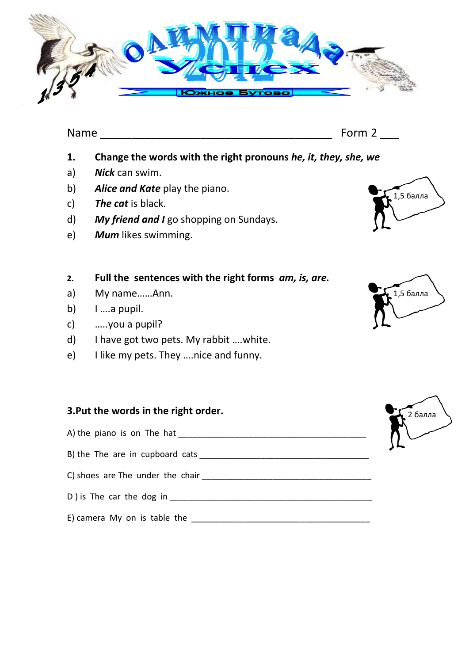

Name **Name Name Example 2 CONSUMPANE** 

- **1. Change the words with the right pronouns** *he, it, they, she, we*
- a) *Nick* can swim.
- b) *Alice and Kate* play the piano.
- c) *The cat* is black.
- d) *My friend and I* go shopping on Sundays.
- e) *Mum* likes swimming.

### **2. Full the sentences with the right forms** *am, is, are.*

- a) My name……Ann.
- b)  $1 \dots a$  pupil.
- c) …..you a pupil?
- d) I have got two pets. My rabbit ….white.
- e) I like my pets. They ….nice and funny.

# **3.Put the words in the right order.**

- A) the piano is on The hat \_\_\_\_\_\_\_\_\_\_\_\_\_\_\_\_\_\_\_\_\_\_\_\_\_\_\_\_\_\_\_\_\_\_\_\_\_\_\_\_
- B) the The are in cupboard cats \_\_\_\_\_\_\_\_\_\_\_\_\_\_\_\_\_\_\_\_\_\_\_\_\_\_\_\_\_\_\_\_\_\_\_\_
- C) shoes are The under the chair \_\_\_\_\_\_\_\_\_\_\_\_\_\_\_\_\_\_\_\_\_\_\_\_\_\_\_\_\_\_\_\_\_\_\_\_
- D ) is The car the dog in the state of  $\overline{D}$  is The car the dog in
- E) camera My on is table the  $\Box$



1,5 балла

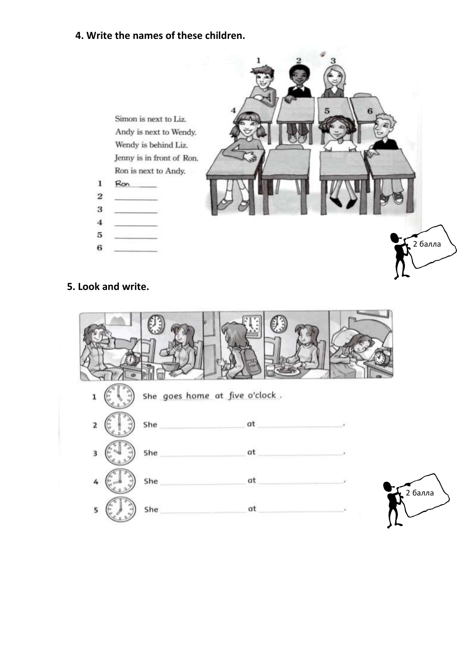## **4. Write the names of these children.**



#### **5. Look and write.**